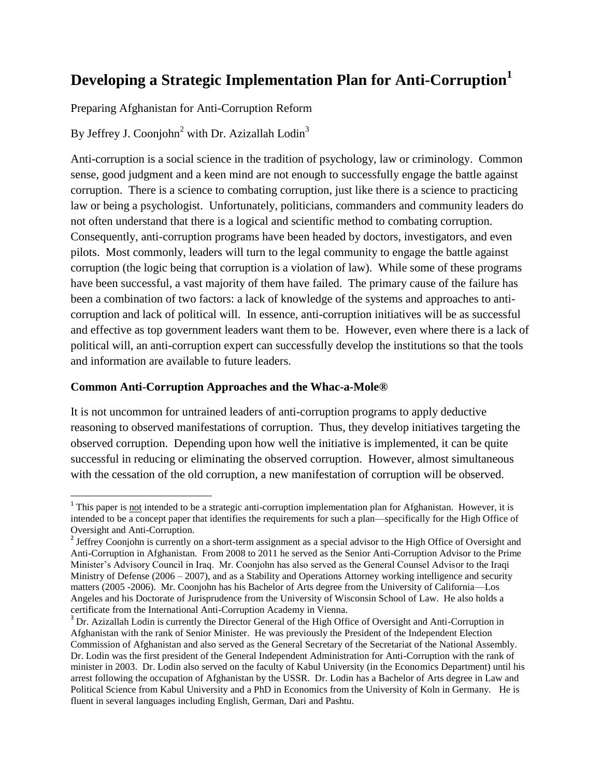# **Developing a Strategic Implementation Plan for Anti-Corruption<sup>1</sup>**

Preparing Afghanistan for Anti-Corruption Reform

By Jeffrey J. Coonjohn<sup>2</sup> with Dr. Azizallah Lodin<sup>3</sup>

Anti-corruption is a social science in the tradition of psychology, law or criminology. Common sense, good judgment and a keen mind are not enough to successfully engage the battle against corruption. There is a science to combating corruption, just like there is a science to practicing law or being a psychologist. Unfortunately, politicians, commanders and community leaders do not often understand that there is a logical and scientific method to combating corruption. Consequently, anti-corruption programs have been headed by doctors, investigators, and even pilots. Most commonly, leaders will turn to the legal community to engage the battle against corruption (the logic being that corruption is a violation of law). While some of these programs have been successful, a vast majority of them have failed. The primary cause of the failure has been a combination of two factors: a lack of knowledge of the systems and approaches to anticorruption and lack of political will. In essence, anti-corruption initiatives will be as successful and effective as top government leaders want them to be. However, even where there is a lack of political will, an anti-corruption expert can successfully develop the institutions so that the tools and information are available to future leaders.

### **Common Anti-Corruption Approaches and the Whac-a-Mole®**

 $\overline{\phantom{a}}$ 

It is not uncommon for untrained leaders of anti-corruption programs to apply deductive reasoning to observed manifestations of corruption. Thus, they develop initiatives targeting the observed corruption. Depending upon how well the initiative is implemented, it can be quite successful in reducing or eliminating the observed corruption. However, almost simultaneous with the cessation of the old corruption, a new manifestation of corruption will be observed.

<sup>&</sup>lt;sup>1</sup> This paper is **not** intended to be a strategic anti-corruption implementation plan for Afghanistan. However, it is intended to be a concept paper that identifies the requirements for such a plan—specifically for the High Office of Oversight and Anti-Corruption.

 $2^{2}$  Jeffrey Coonjohn is currently on a short-term assignment as a special advisor to the High Office of Oversight and Anti-Corruption in Afghanistan. From 2008 to 2011 he served as the Senior Anti-Corruption Advisor to the Prime Minister's Advisory Council in Iraq. Mr. Coonjohn has also served as the General Counsel Advisor to the Iraqi Ministry of Defense (2006 – 2007), and as a Stability and Operations Attorney working intelligence and security matters (2005 -2006). Mr. Coonjohn has his Bachelor of Arts degree from the University of California—Los Angeles and his Doctorate of Jurisprudence from the University of Wisconsin School of Law. He also holds a certificate from the International Anti-Corruption Academy in Vienna.

<sup>&</sup>lt;sup>3</sup> Dr. Azizallah Lodin is currently the Director General of the High Office of Oversight and Anti-Corruption in Afghanistan with the rank of Senior Minister. He was previously the President of the Independent Election Commission of Afghanistan and also served as the General Secretary of the Secretariat of the National Assembly. Dr. Lodin was the first president of the General Independent Administration for Anti-Corruption with the rank of minister in 2003. Dr. Lodin also served on the faculty of Kabul University (in the Economics Department) until his arrest following the occupation of Afghanistan by the USSR. Dr. Lodin has a Bachelor of Arts degree in Law and Political Science from Kabul University and a PhD in Economics from the University of Koln in Germany. He is fluent in several languages including English, German, Dari and Pashtu.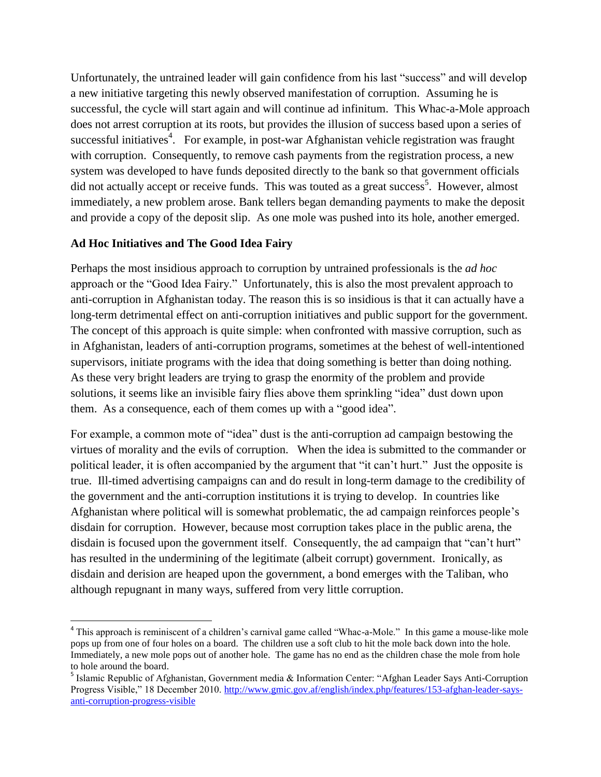Unfortunately, the untrained leader will gain confidence from his last "success" and will develop a new initiative targeting this newly observed manifestation of corruption. Assuming he is successful, the cycle will start again and will continue ad infinitum. This Whac-a-Mole approach does not arrest corruption at its roots, but provides the illusion of success based upon a series of successful initiatives<sup>4</sup>. For example, in post-war Afghanistan vehicle registration was fraught with corruption. Consequently, to remove cash payments from the registration process, a new system was developed to have funds deposited directly to the bank so that government officials did not actually accept or receive funds. This was touted as a great success<sup>5</sup>. However, almost immediately, a new problem arose. Bank tellers began demanding payments to make the deposit and provide a copy of the deposit slip. As one mole was pushed into its hole, another emerged.

## **Ad Hoc Initiatives and The Good Idea Fairy**

Perhaps the most insidious approach to corruption by untrained professionals is the *ad hoc* approach or the "Good Idea Fairy." Unfortunately, this is also the most prevalent approach to anti-corruption in Afghanistan today. The reason this is so insidious is that it can actually have a long-term detrimental effect on anti-corruption initiatives and public support for the government. The concept of this approach is quite simple: when confronted with massive corruption, such as in Afghanistan, leaders of anti-corruption programs, sometimes at the behest of well-intentioned supervisors, initiate programs with the idea that doing something is better than doing nothing. As these very bright leaders are trying to grasp the enormity of the problem and provide solutions, it seems like an invisible fairy flies above them sprinkling "idea" dust down upon them. As a consequence, each of them comes up with a "good idea".

For example, a common mote of "idea" dust is the anti-corruption ad campaign bestowing the virtues of morality and the evils of corruption. When the idea is submitted to the commander or political leader, it is often accompanied by the argument that "it can't hurt." Just the opposite is true. Ill-timed advertising campaigns can and do result in long-term damage to the credibility of the government and the anti-corruption institutions it is trying to develop. In countries like Afghanistan where political will is somewhat problematic, the ad campaign reinforces people's disdain for corruption. However, because most corruption takes place in the public arena, the disdain is focused upon the government itself. Consequently, the ad campaign that "can't hurt" has resulted in the undermining of the legitimate (albeit corrupt) government. Ironically, as disdain and derision are heaped upon the government, a bond emerges with the Taliban, who although repugnant in many ways, suffered from very little corruption.

<sup>&</sup>lt;sup>4</sup> This approach is reminiscent of a children's carnival game called "Whac-a-Mole." In this game a mouse-like mole pops up from one of four holes on a board. The children use a soft club to hit the mole back down into the hole. Immediately, a new mole pops out of another hole. The game has no end as the children chase the mole from hole to hole around the board.

<sup>&</sup>lt;sup>5</sup> Islamic Republic of Afghanistan, Government media & Information Center: "Afghan Leader Says Anti-Corruption Progress Visible," 18 December 2010. [http://www.gmic.gov.af/english/index.php/features/153-afghan-leader-says](http://www.gmic.gov.af/english/index.php/features/153-afghan-leader-says-anti-corruption-progress-visible)[anti-corruption-progress-visible](http://www.gmic.gov.af/english/index.php/features/153-afghan-leader-says-anti-corruption-progress-visible)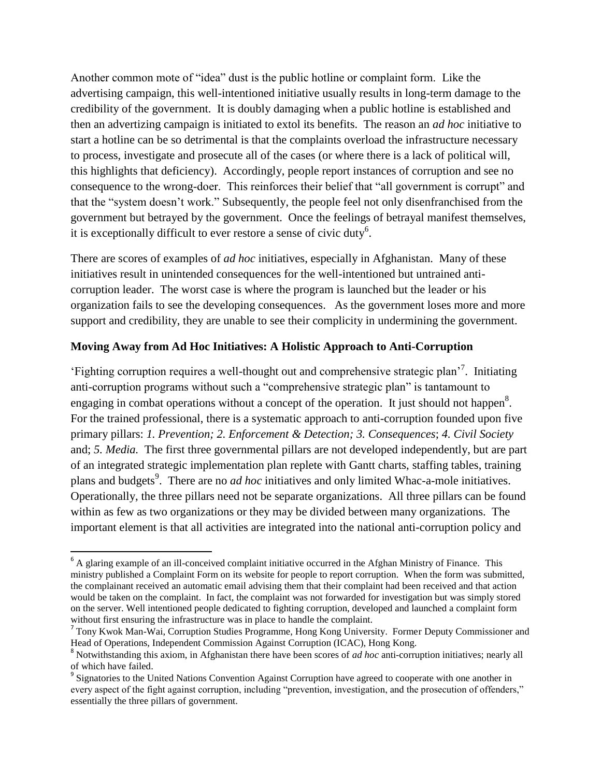Another common mote of "idea" dust is the public hotline or complaint form. Like the advertising campaign, this well-intentioned initiative usually results in long-term damage to the credibility of the government. It is doubly damaging when a public hotline is established and then an advertizing campaign is initiated to extol its benefits. The reason an *ad hoc* initiative to start a hotline can be so detrimental is that the complaints overload the infrastructure necessary to process, investigate and prosecute all of the cases (or where there is a lack of political will, this highlights that deficiency). Accordingly, people report instances of corruption and see no consequence to the wrong-doer. This reinforces their belief that "all government is corrupt" and that the "system doesn't work." Subsequently, the people feel not only disenfranchised from the government but betrayed by the government. Once the feelings of betrayal manifest themselves, it is exceptionally difficult to ever restore a sense of civic duty<sup>6</sup>.

There are scores of examples of *ad hoc* initiatives, especially in Afghanistan. Many of these initiatives result in unintended consequences for the well-intentioned but untrained anticorruption leader. The worst case is where the program is launched but the leader or his organization fails to see the developing consequences. As the government loses more and more support and credibility, they are unable to see their complicity in undermining the government.

### **Moving Away from Ad Hoc Initiatives: A Holistic Approach to Anti-Corruption**

‗Fighting corruption requires a well-thought out and comprehensive strategic plan'<sup>7</sup> . Initiating anti-corruption programs without such a "comprehensive strategic plan" is tantamount to engaging in combat operations without a concept of the operation. It just should not happen<sup>8</sup>. For the trained professional, there is a systematic approach to anti-corruption founded upon five primary pillars: *1. Prevention; 2. Enforcement & Detection; 3. Consequences*; *4. Civil Society* and; *5. Media.* The first three governmental pillars are not developed independently, but are part of an integrated strategic implementation plan replete with Gantt charts, staffing tables, training plans and budgets<sup>9</sup>. There are no *ad hoc* initiatives and only limited Whac-a-mole initiatives. Operationally, the three pillars need not be separate organizations. All three pillars can be found within as few as two organizations or they may be divided between many organizations. The important element is that all activities are integrated into the national anti-corruption policy and

 $\overline{a}$ 

 $6$  A glaring example of an ill-conceived complaint initiative occurred in the Afghan Ministry of Finance. This ministry published a Complaint Form on its website for people to report corruption. When the form was submitted, the complainant received an automatic email advising them that their complaint had been received and that action would be taken on the complaint. In fact, the complaint was not forwarded for investigation but was simply stored on the server. Well intentioned people dedicated to fighting corruption, developed and launched a complaint form without first ensuring the infrastructure was in place to handle the complaint.

<sup>&</sup>lt;sup>7</sup> Tony Kwok Man-Wai, Corruption Studies Programme, Hong Kong University. Former Deputy Commissioner and Head of Operations, Independent Commission Against Corruption (ICAC), Hong Kong.

<sup>8</sup> Notwithstanding this axiom, in Afghanistan there have been scores of *ad hoc* anti-corruption initiatives; nearly all of which have failed.

<sup>&</sup>lt;sup>9</sup> Signatories to the United Nations Convention Against Corruption have agreed to cooperate with one another in every aspect of the fight against corruption, including "prevention, investigation, and the prosecution of offenders," essentially the three pillars of government.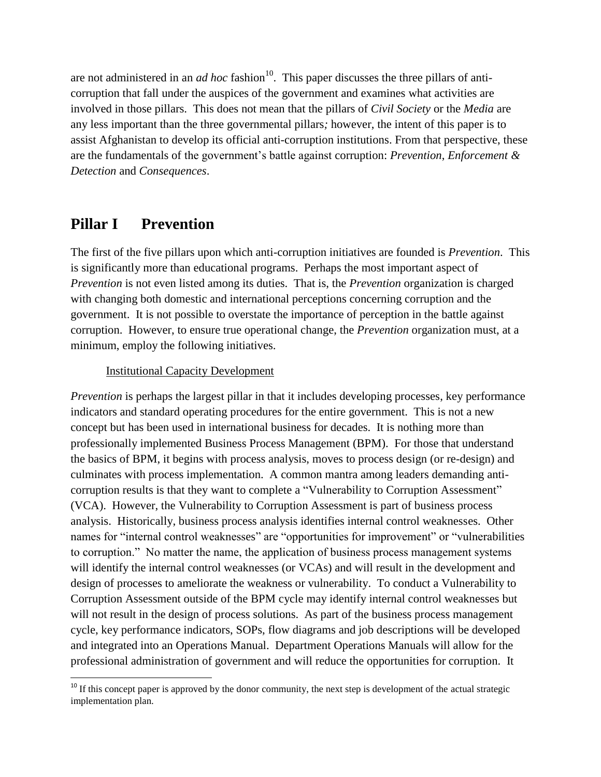are not administered in an *ad hoc* fashion<sup>10</sup>. This paper discusses the three pillars of anticorruption that fall under the auspices of the government and examines what activities are involved in those pillars. This does not mean that the pillars of *Civil Society* or the *Media* are any less important than the three governmental pillars*;* however, the intent of this paper is to assist Afghanistan to develop its official anti-corruption institutions. From that perspective, these are the fundamentals of the government's battle against corruption: *Prevention*, *Enforcement & Detection* and *Consequences*.

# **Pillar I Prevention**

The first of the five pillars upon which anti-corruption initiatives are founded is *Prevention*. This is significantly more than educational programs. Perhaps the most important aspect of *Prevention* is not even listed among its duties. That is, the *Prevention* organization is charged with changing both domestic and international perceptions concerning corruption and the government. It is not possible to overstate the importance of perception in the battle against corruption. However, to ensure true operational change, the *Prevention* organization must, at a minimum, employ the following initiatives.

## Institutional Capacity Development

*Prevention* is perhaps the largest pillar in that it includes developing processes, key performance indicators and standard operating procedures for the entire government. This is not a new concept but has been used in international business for decades. It is nothing more than professionally implemented Business Process Management (BPM). For those that understand the basics of BPM, it begins with process analysis, moves to process design (or re-design) and culminates with process implementation. A common mantra among leaders demanding anticorruption results is that they want to complete a "Vulnerability to Corruption Assessment" (VCA). However, the Vulnerability to Corruption Assessment is part of business process analysis. Historically, business process analysis identifies internal control weaknesses. Other names for "internal control weaknesses" are "opportunities for improvement" or "vulnerabilities to corruption." No matter the name, the application of business process management systems will identify the internal control weaknesses (or VCAs) and will result in the development and design of processes to ameliorate the weakness or vulnerability. To conduct a Vulnerability to Corruption Assessment outside of the BPM cycle may identify internal control weaknesses but will not result in the design of process solutions. As part of the business process management cycle, key performance indicators, SOPs, flow diagrams and job descriptions will be developed and integrated into an Operations Manual. Department Operations Manuals will allow for the professional administration of government and will reduce the opportunities for corruption. It

l  $10$  If this concept paper is approved by the donor community, the next step is development of the actual strategic implementation plan.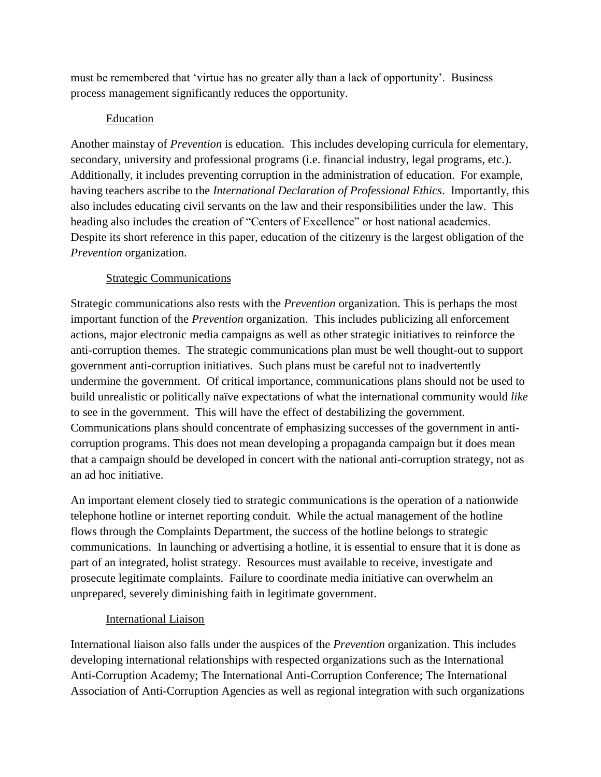must be remembered that 'virtue has no greater ally than a lack of opportunity'. Business process management significantly reduces the opportunity.

## Education

Another mainstay of *Prevention* is education. This includes developing curricula for elementary, secondary, university and professional programs (i.e. financial industry, legal programs, etc.). Additionally, it includes preventing corruption in the administration of education. For example, having teachers ascribe to the *International Declaration of Professional Ethics*. Importantly, this also includes educating civil servants on the law and their responsibilities under the law. This heading also includes the creation of "Centers of Excellence" or host national academies. Despite its short reference in this paper, education of the citizenry is the largest obligation of the *Prevention* organization.

# Strategic Communications

Strategic communications also rests with the *Prevention* organization. This is perhaps the most important function of the *Prevention* organization. This includes publicizing all enforcement actions, major electronic media campaigns as well as other strategic initiatives to reinforce the anti-corruption themes. The strategic communications plan must be well thought-out to support government anti-corruption initiatives. Such plans must be careful not to inadvertently undermine the government. Of critical importance, communications plans should not be used to build unrealistic or politically naïve expectations of what the international community would *like* to see in the government. This will have the effect of destabilizing the government. Communications plans should concentrate of emphasizing successes of the government in anticorruption programs. This does not mean developing a propaganda campaign but it does mean that a campaign should be developed in concert with the national anti-corruption strategy, not as an ad hoc initiative.

An important element closely tied to strategic communications is the operation of a nationwide telephone hotline or internet reporting conduit. While the actual management of the hotline flows through the Complaints Department, the success of the hotline belongs to strategic communications. In launching or advertising a hotline, it is essential to ensure that it is done as part of an integrated, holist strategy. Resources must available to receive, investigate and prosecute legitimate complaints. Failure to coordinate media initiative can overwhelm an unprepared, severely diminishing faith in legitimate government.

## International Liaison

International liaison also falls under the auspices of the *Prevention* organization. This includes developing international relationships with respected organizations such as the International Anti-Corruption Academy; The International Anti-Corruption Conference; The International Association of Anti-Corruption Agencies as well as regional integration with such organizations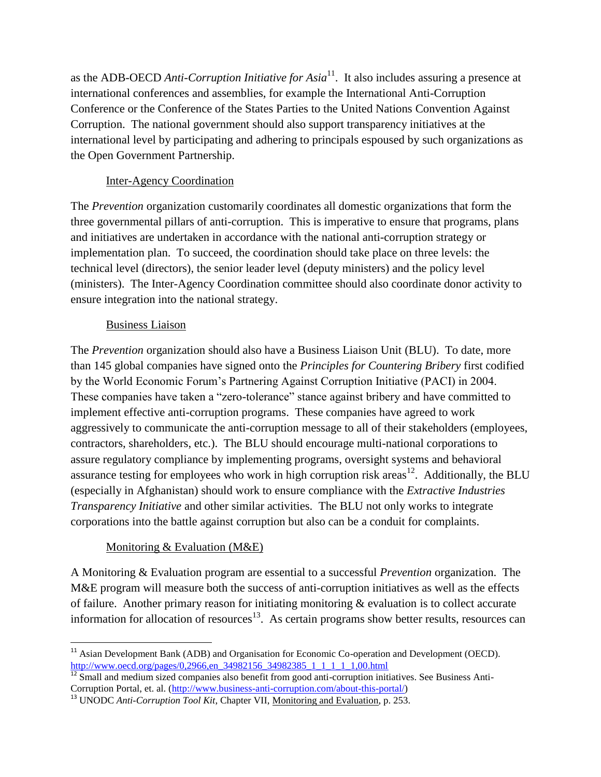as the ADB-OECD *Anti-Corruption Initiative for Asia*<sup>11</sup> . It also includes assuring a presence at international conferences and assemblies, for example the International Anti-Corruption Conference or the Conference of the States Parties to the United Nations Convention Against Corruption. The national government should also support transparency initiatives at the international level by participating and adhering to principals espoused by such organizations as the Open Government Partnership.

## Inter-Agency Coordination

The *Prevention* organization customarily coordinates all domestic organizations that form the three governmental pillars of anti-corruption. This is imperative to ensure that programs, plans and initiatives are undertaken in accordance with the national anti-corruption strategy or implementation plan. To succeed, the coordination should take place on three levels: the technical level (directors), the senior leader level (deputy ministers) and the policy level (ministers). The Inter-Agency Coordination committee should also coordinate donor activity to ensure integration into the national strategy.

## Business Liaison

The *Prevention* organization should also have a Business Liaison Unit (BLU). To date, more than 145 global companies have signed onto the *Principles for Countering Bribery* first codified by the World Economic Forum's Partnering Against Corruption Initiative (PACI) in 2004. These companies have taken a "zero-tolerance" stance against bribery and have committed to implement effective anti-corruption programs. These companies have agreed to work aggressively to communicate the anti-corruption message to all of their stakeholders (employees, contractors, shareholders, etc.). The BLU should encourage multi-national corporations to assure regulatory compliance by implementing programs, oversight systems and behavioral assurance testing for employees who work in high corruption risk areas<sup>12</sup>. Additionally, the BLU (especially in Afghanistan) should work to ensure compliance with the *Extractive Industries Transparency Initiative* and other similar activities. The BLU not only works to integrate corporations into the battle against corruption but also can be a conduit for complaints.

# Monitoring & Evaluation (M&E)

A Monitoring & Evaluation program are essential to a successful *Prevention* organization. The M&E program will measure both the success of anti-corruption initiatives as well as the effects of failure. Another primary reason for initiating monitoring & evaluation is to collect accurate information for allocation of resources<sup>13</sup>. As certain programs show better results, resources can

l  $11$  Asian Development Bank (ADB) and Organisation for Economic Co-operation and Development (OECD). [http://www.oecd.org/pages/0,2966,en\\_34982156\\_34982385\\_1\\_1\\_1\\_1\\_1,00.html](http://www.oecd.org/pages/0,2966,en_34982156_34982385_1_1_1_1_1,00.html)

 $\frac{112}{12}$  Small and medium sized companies also benefit from good anti-corruption initiatives. See Business Anti-Corruption Portal, et. al. [\(http://www.business-anti-corruption.com/about-this-portal/\)](http://www.business-anti-corruption.com/about-this-portal/)

<sup>&</sup>lt;sup>13</sup> UNODC *Anti-Corruption Tool Kit*, Chapter VII, <u>Monitoring and Evaluation</u>, p. 253.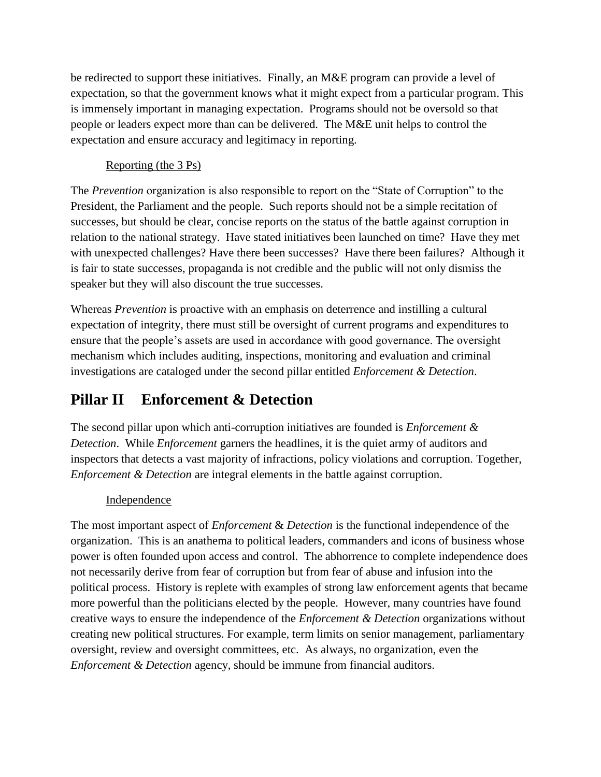be redirected to support these initiatives. Finally, an M&E program can provide a level of expectation, so that the government knows what it might expect from a particular program. This is immensely important in managing expectation. Programs should not be oversold so that people or leaders expect more than can be delivered. The M&E unit helps to control the expectation and ensure accuracy and legitimacy in reporting.

## Reporting (the 3 Ps)

The *Prevention* organization is also responsible to report on the "State of Corruption" to the President, the Parliament and the people. Such reports should not be a simple recitation of successes, but should be clear, concise reports on the status of the battle against corruption in relation to the national strategy. Have stated initiatives been launched on time? Have they met with unexpected challenges? Have there been successes? Have there been failures? Although it is fair to state successes, propaganda is not credible and the public will not only dismiss the speaker but they will also discount the true successes.

Whereas *Prevention* is proactive with an emphasis on deterrence and instilling a cultural expectation of integrity, there must still be oversight of current programs and expenditures to ensure that the people's assets are used in accordance with good governance. The oversight mechanism which includes auditing, inspections, monitoring and evaluation and criminal investigations are cataloged under the second pillar entitled *Enforcement & Detection*.

# **Pillar II Enforcement & Detection**

The second pillar upon which anti-corruption initiatives are founded is *Enforcement & Detection*. While *Enforcement* garners the headlines, it is the quiet army of auditors and inspectors that detects a vast majority of infractions, policy violations and corruption. Together, *Enforcement & Detection* are integral elements in the battle against corruption.

# Independence

The most important aspect of *Enforcement* & *Detection* is the functional independence of the organization. This is an anathema to political leaders, commanders and icons of business whose power is often founded upon access and control. The abhorrence to complete independence does not necessarily derive from fear of corruption but from fear of abuse and infusion into the political process. History is replete with examples of strong law enforcement agents that became more powerful than the politicians elected by the people. However, many countries have found creative ways to ensure the independence of the *Enforcement & Detection* organizations without creating new political structures. For example, term limits on senior management, parliamentary oversight, review and oversight committees, etc. As always, no organization, even the *Enforcement & Detection* agency, should be immune from financial auditors.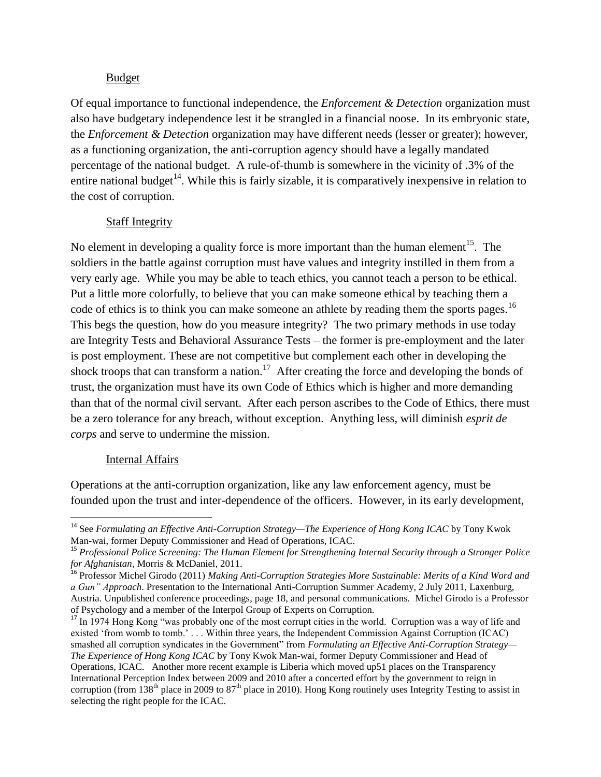#### Budget

Of equal importance to functional independence, the *Enforcement & Detection* organization must also have budgetary independence lest it be strangled in a financial noose. In its embryonic state, the *Enforcement & Detection* organization may have different needs (lesser or greater); however, as a functioning organization, the anti-corruption agency should have a legally mandated percentage of the national budget. A rule-of-thumb is somewhere in the vicinity of .3% of the entire national budget<sup>14</sup>. While this is fairly sizable, it is comparatively inexpensive in relation to the cost of corruption.

### Staff Integrity

No element in developing a quality force is more important than the human element<sup>15</sup>. The soldiers in the battle against corruption must have values and integrity instilled in them from a very early age. While you may be able to teach ethics, you cannot teach a person to be ethical. Put a little more colorfully, to believe that you can make someone ethical by teaching them a code of ethics is to think you can make someone an athlete by reading them the sports pages.<sup>16</sup> This begs the question, how do you measure integrity? The two primary methods in use today are Integrity Tests and Behavioral Assurance Tests – the former is pre-employment and the later is post employment. These are not competitive but complement each other in developing the shock troops that can transform a nation.<sup>17</sup> After creating the force and developing the bonds of trust, the organization must have its own Code of Ethics which is higher and more demanding than that of the normal civil servant. After each person ascribes to the Code of Ethics, there must be a zero tolerance for any breach, without exception. Anything less, will diminish *esprit de corps* and serve to undermine the mission.

#### Internal Affairs

 $\overline{\phantom{a}}$ 

Operations at the anti-corruption organization, like any law enforcement agency, must be founded upon the trust and inter-dependence of the officers. However, in its early development,

<sup>&</sup>lt;sup>14</sup> See *Formulating an Effective Anti-Corruption Strategy—The Experience of Hong Kong ICAC by Tony Kwok* Man-wai, former Deputy Commissioner and Head of Operations, ICAC.

<sup>15</sup> *Professional Police Screening: The Human Element for Strengthening Internal Security through a Stronger Police for Afghanistan*, Morris & McDaniel, 2011.

<sup>16</sup> Professor Michel Girodo (2011) *Making Anti-Corruption Strategies More Sustainable: Merits of a Kind Word and a Gun" Approach*. Presentation to the International Anti-Corruption Summer Academy, 2 July 2011, Laxenburg, Austria. Unpublished conference proceedings, page 18, and personal communications. Michel Girodo is a Professor of Psychology and a member of the Interpol Group of Experts on Corruption.

<sup>&</sup>lt;sup>17</sup> In 1974 Hong Kong "was probably one of the most corrupt cities in the world. Corruption was a way of life and existed ‗from womb to tomb.' . . . Within three years, the Independent Commission Against Corruption (ICAC) smashed all corruption syndicates in the Government" from *Formulating an Effective Anti-Corruption Strategy*— *The Experience of Hong Kong ICAC* by Tony Kwok Man-wai, former Deputy Commissioner and Head of Operations, ICAC. Another more recent example is Liberia which moved up51 places on the Transparency International Perception Index between 2009 and 2010 after a concerted effort by the government to reign in corruption (from 138th place in 2009 to 87th place in 2010). Hong Kong routinely uses Integrity Testing to assist in selecting the right people for the ICAC.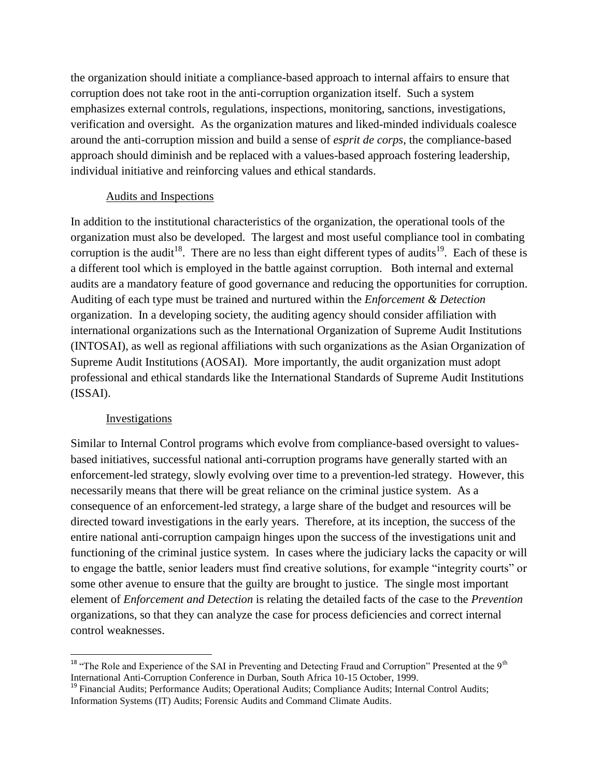the organization should initiate a compliance-based approach to internal affairs to ensure that corruption does not take root in the anti-corruption organization itself. Such a system emphasizes external controls, regulations, inspections, monitoring, sanctions, investigations, verification and oversight. As the organization matures and liked-minded individuals coalesce around the anti-corruption mission and build a sense of *esprit de corps*, the compliance-based approach should diminish and be replaced with a values-based approach fostering leadership, individual initiative and reinforcing values and ethical standards.

#### Audits and Inspections

In addition to the institutional characteristics of the organization, the operational tools of the organization must also be developed. The largest and most useful compliance tool in combating corruption is the audit<sup>18</sup>. There are no less than eight different types of audits<sup>19</sup>. Each of these is a different tool which is employed in the battle against corruption. Both internal and external audits are a mandatory feature of good governance and reducing the opportunities for corruption. Auditing of each type must be trained and nurtured within the *Enforcement & Detection* organization. In a developing society, the auditing agency should consider affiliation with international organizations such as the International Organization of Supreme Audit Institutions (INTOSAI), as well as regional affiliations with such organizations as the Asian Organization of Supreme Audit Institutions (AOSAI). More importantly, the audit organization must adopt professional and ethical standards like the International Standards of Supreme Audit Institutions (ISSAI).

#### Investigations

 $\overline{\phantom{a}}$ 

Similar to Internal Control programs which evolve from compliance-based oversight to valuesbased initiatives, successful national anti-corruption programs have generally started with an enforcement-led strategy, slowly evolving over time to a prevention-led strategy. However, this necessarily means that there will be great reliance on the criminal justice system. As a consequence of an enforcement-led strategy, a large share of the budget and resources will be directed toward investigations in the early years. Therefore, at its inception, the success of the entire national anti-corruption campaign hinges upon the success of the investigations unit and functioning of the criminal justice system. In cases where the judiciary lacks the capacity or will to engage the battle, senior leaders must find creative solutions, for example "integrity courts" or some other avenue to ensure that the guilty are brought to justice. The single most important element of *Enforcement and Detection* is relating the detailed facts of the case to the *Prevention* organizations, so that they can analyze the case for process deficiencies and correct internal control weaknesses.

<sup>&</sup>lt;sup>18</sup> "The Role and Experience of the SAI in Preventing and Detecting Fraud and Corruption" Presented at the  $9<sup>th</sup>$ International Anti-Corruption Conference in Durban, South Africa 10-15 October, 1999.

<sup>&</sup>lt;sup>19</sup> Financial Audits; Performance Audits; Operational Audits; Compliance Audits; Internal Control Audits; Information Systems (IT) Audits; Forensic Audits and Command Climate Audits.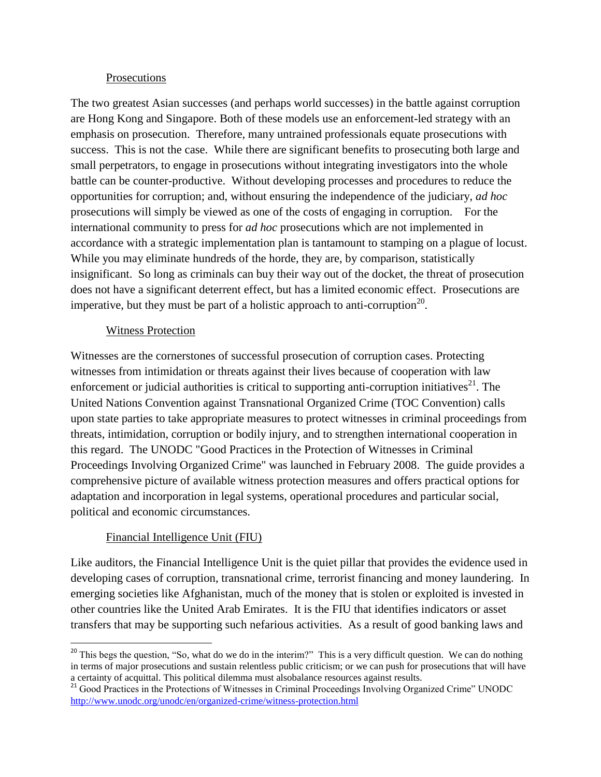### Prosecutions

The two greatest Asian successes (and perhaps world successes) in the battle against corruption are Hong Kong and Singapore. Both of these models use an enforcement-led strategy with an emphasis on prosecution. Therefore, many untrained professionals equate prosecutions with success. This is not the case. While there are significant benefits to prosecuting both large and small perpetrators, to engage in prosecutions without integrating investigators into the whole battle can be counter-productive. Without developing processes and procedures to reduce the opportunities for corruption; and, without ensuring the independence of the judiciary, *ad hoc* prosecutions will simply be viewed as one of the costs of engaging in corruption. For the international community to press for *ad hoc* prosecutions which are not implemented in accordance with a strategic implementation plan is tantamount to stamping on a plague of locust. While you may eliminate hundreds of the horde, they are, by comparison, statistically insignificant. So long as criminals can buy their way out of the docket, the threat of prosecution does not have a significant deterrent effect, but has a limited economic effect. Prosecutions are imperative, but they must be part of a holistic approach to anti-corruption<sup>20</sup>.

## Witness Protection

Witnesses are the cornerstones of successful prosecution of corruption cases. Protecting witnesses from intimidation or threats against their lives because of cooperation with law enforcement or judicial authorities is critical to supporting anti-corruption initiatives<sup>21</sup>. The United Nations Convention against Transnational Organized Crime (TOC Convention) calls upon state parties to take appropriate measures to protect witnesses in criminal proceedings from threats, intimidation, corruption or bodily injury, and to strengthen international cooperation in this regard. The UNODC "Good Practices in the Protection of Witnesses in Criminal Proceedings Involving Organized Crime" was launched in February 2008. The guide provides a comprehensive picture of available witness protection measures and offers practical options for adaptation and incorporation in legal systems, operational procedures and particular social, political and economic circumstances.

# Financial Intelligence Unit (FIU)

 $\overline{a}$ 

Like auditors, the Financial Intelligence Unit is the quiet pillar that provides the evidence used in developing cases of corruption, transnational crime, terrorist financing and money laundering. In emerging societies like Afghanistan, much of the money that is stolen or exploited is invested in other countries like the United Arab Emirates. It is the FIU that identifies indicators or asset transfers that may be supporting such nefarious activities. As a result of good banking laws and

<sup>&</sup>lt;sup>20</sup> This begs the question, "So, what do we do in the interim?" This is a very difficult question. We can do nothing in terms of major prosecutions and sustain relentless public criticism; or we can push for prosecutions that will have a certainty of acquittal. This political dilemma must alsobalance resources against results.

<sup>&</sup>lt;sup>21</sup> Good Practices in the Protections of Witnesses in Criminal Proceedings Involving Organized Crime" UNODC <http://www.unodc.org/unodc/en/organized-crime/witness-protection.html>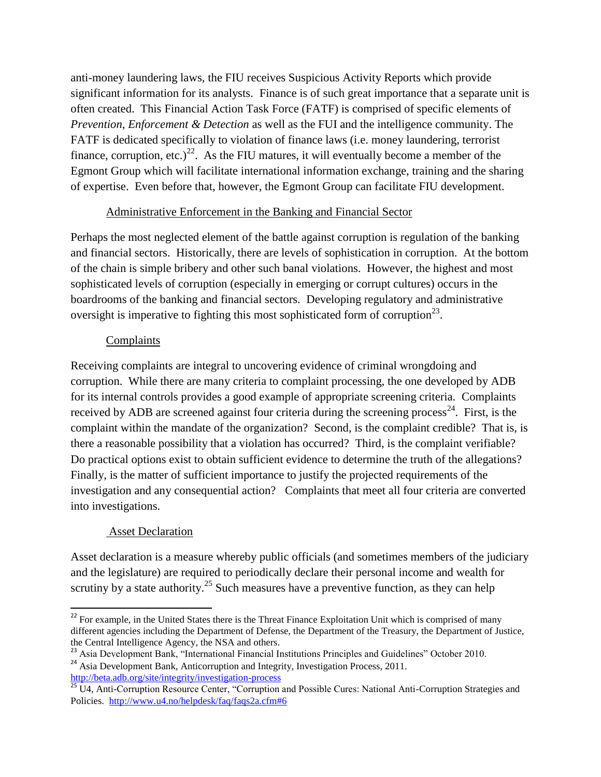anti-money laundering laws, the FIU receives Suspicious Activity Reports which provide significant information for its analysts. Finance is of such great importance that a separate unit is often created. This Financial Action Task Force (FATF) is comprised of specific elements of *Prevention*, *Enforcement & Detection* as well as the FUI and the intelligence community. The FATF is dedicated specifically to violation of finance laws (i.e. money laundering, terrorist finance, corruption, etc.)<sup>22</sup>. As the FIU matures, it will eventually become a member of the Egmont Group which will facilitate international information exchange, training and the sharing of expertise. Even before that, however, the Egmont Group can facilitate FIU development.

## Administrative Enforcement in the Banking and Financial Sector

Perhaps the most neglected element of the battle against corruption is regulation of the banking and financial sectors. Historically, there are levels of sophistication in corruption. At the bottom of the chain is simple bribery and other such banal violations. However, the highest and most sophisticated levels of corruption (especially in emerging or corrupt cultures) occurs in the boardrooms of the banking and financial sectors. Developing regulatory and administrative oversight is imperative to fighting this most sophisticated form of corruption<sup>23</sup>.

## Complaints

Receiving complaints are integral to uncovering evidence of criminal wrongdoing and corruption. While there are many criteria to complaint processing, the one developed by ADB for its internal controls provides a good example of appropriate screening criteria. Complaints received by ADB are screened against four criteria during the screening process<sup>24</sup>. First, is the complaint within the mandate of the organization? Second, is the complaint credible? That is, is there a reasonable possibility that a violation has occurred? Third, is the complaint verifiable? Do practical options exist to obtain sufficient evidence to determine the truth of the allegations? Finally, is the matter of sufficient importance to justify the projected requirements of the investigation and any consequential action? Complaints that meet all four criteria are converted into investigations.

# Asset Declaration

Asset declaration is a measure whereby public officials (and sometimes members of the judiciary and the legislature) are required to periodically declare their personal income and wealth for scrutiny by a state authority.<sup>25</sup> Such measures have a preventive function, as they can help

 $\overline{\phantom{a}}$ <sup>22</sup> For example, in the United States there is the Threat Finance Exploitation Unit which is comprised of many different agencies including the Department of Defense, the Department of the Treasury, the Department of Justice, the Central Intelligence Agency, the NSA and others.

<sup>&</sup>lt;sup>23</sup> Asia Development Bank, "International Financial Institutions Principles and Guidelines" October 2010.

<sup>&</sup>lt;sup>24</sup> Asia Development Bank, Anticorruption and Integrity, Investigation Process, 2011. <http://beta.adb.org/site/integrity/investigation-process>

<sup>&</sup>lt;sup>25</sup> U4, Anti-Corruption Resource Center, "Corruption and Possible Cures: National Anti-Corruption Strategies and Policies. <http://www.u4.no/helpdesk/faq/faqs2a.cfm#6>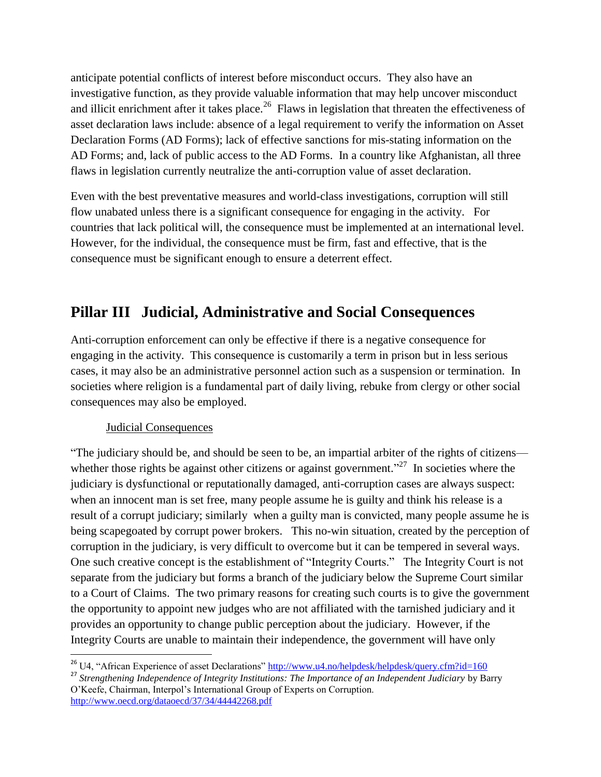anticipate potential conflicts of interest before misconduct occurs. They also have an investigative function, as they provide valuable information that may help uncover misconduct and illicit enrichment after it takes place.<sup>26</sup> Flaws in legislation that threaten the effectiveness of asset declaration laws include: absence of a legal requirement to verify the information on Asset Declaration Forms (AD Forms); lack of effective sanctions for mis-stating information on the AD Forms; and, lack of public access to the AD Forms. In a country like Afghanistan, all three flaws in legislation currently neutralize the anti-corruption value of asset declaration.

Even with the best preventative measures and world-class investigations, corruption will still flow unabated unless there is a significant consequence for engaging in the activity. For countries that lack political will, the consequence must be implemented at an international level. However, for the individual, the consequence must be firm, fast and effective, that is the consequence must be significant enough to ensure a deterrent effect.

# **Pillar III Judicial, Administrative and Social Consequences**

Anti-corruption enforcement can only be effective if there is a negative consequence for engaging in the activity. This consequence is customarily a term in prison but in less serious cases, it may also be an administrative personnel action such as a suspension or termination. In societies where religion is a fundamental part of daily living, rebuke from clergy or other social consequences may also be employed.

## Judicial Consequences

 $\overline{\phantom{a}}$ 

―The judiciary should be, and should be seen to be, an impartial arbiter of the rights of citizens whether those rights be against other citizens or against government."<sup>27</sup> In societies where the judiciary is dysfunctional or reputationally damaged, anti-corruption cases are always suspect: when an innocent man is set free, many people assume he is guilty and think his release is a result of a corrupt judiciary; similarly when a guilty man is convicted, many people assume he is being scapegoated by corrupt power brokers. This no-win situation, created by the perception of corruption in the judiciary, is very difficult to overcome but it can be tempered in several ways. One such creative concept is the establishment of "Integrity Courts." The Integrity Court is not separate from the judiciary but forms a branch of the judiciary below the Supreme Court similar to a Court of Claims. The two primary reasons for creating such courts is to give the government the opportunity to appoint new judges who are not affiliated with the tarnished judiciary and it provides an opportunity to change public perception about the judiciary. However, if the Integrity Courts are unable to maintain their independence, the government will have only

<sup>&</sup>lt;sup>26</sup> U4, "African Experience of asset Declarations"<http://www.u4.no/helpdesk/helpdesk/query.cfm?id=160>

<sup>&</sup>lt;sup>27</sup> Strengthening Independence of Integrity Institutions: The Importance of an Independent Judiciary by Barry O'Keefe, Chairman, Interpol's International Group of Experts on Corruption. <http://www.oecd.org/dataoecd/37/34/44442268.pdf>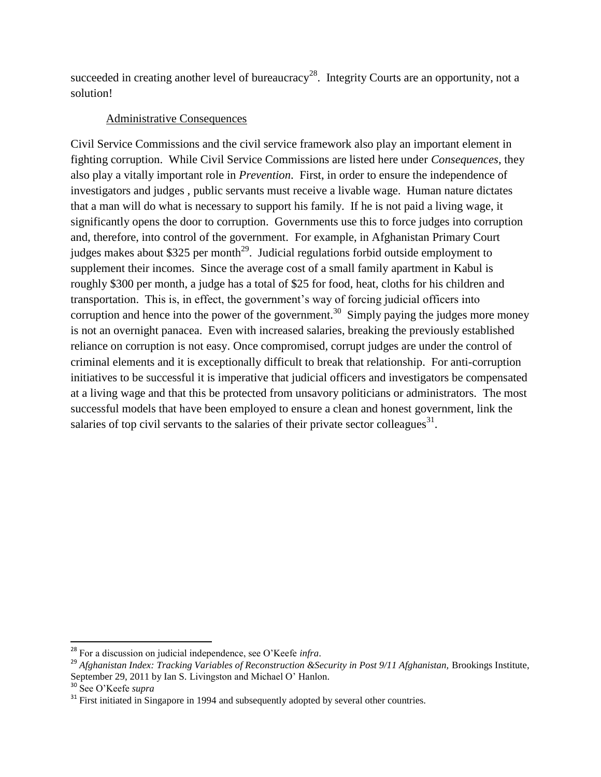succeeded in creating another level of bureaucracy<sup>28</sup>. Integrity Courts are an opportunity, not a solution!

## Administrative Consequences

Civil Service Commissions and the civil service framework also play an important element in fighting corruption. While Civil Service Commissions are listed here under *Consequences*, they also play a vitally important role in *Prevention*. First, in order to ensure the independence of investigators and judges , public servants must receive a livable wage. Human nature dictates that a man will do what is necessary to support his family. If he is not paid a living wage, it significantly opens the door to corruption. Governments use this to force judges into corruption and, therefore, into control of the government. For example, in Afghanistan Primary Court judges makes about \$325 per month<sup>29</sup>. Judicial regulations forbid outside employment to supplement their incomes. Since the average cost of a small family apartment in Kabul is roughly \$300 per month, a judge has a total of \$25 for food, heat, cloths for his children and transportation. This is, in effect, the government's way of forcing judicial officers into corruption and hence into the power of the government.<sup>30</sup> Simply paying the judges more money is not an overnight panacea. Even with increased salaries, breaking the previously established reliance on corruption is not easy. Once compromised, corrupt judges are under the control of criminal elements and it is exceptionally difficult to break that relationship. For anti-corruption initiatives to be successful it is imperative that judicial officers and investigators be compensated at a living wage and that this be protected from unsavory politicians or administrators. The most successful models that have been employed to ensure a clean and honest government, link the salaries of top civil servants to the salaries of their private sector colleagues $^{31}$ .

l

<sup>28</sup> For a discussion on judicial independence, see O'Keefe *infra*.

<sup>&</sup>lt;sup>29</sup> Afghanistan Index: Tracking Variables of Reconstruction &Security in Post 9/11 Afghanistan, Brookings Institute, September 29, 2011 by Ian S. Livingston and Michael O' Hanlon.

<sup>30</sup> See O'Keefe *supra*

 $31$  First initiated in Singapore in 1994 and subsequently adopted by several other countries.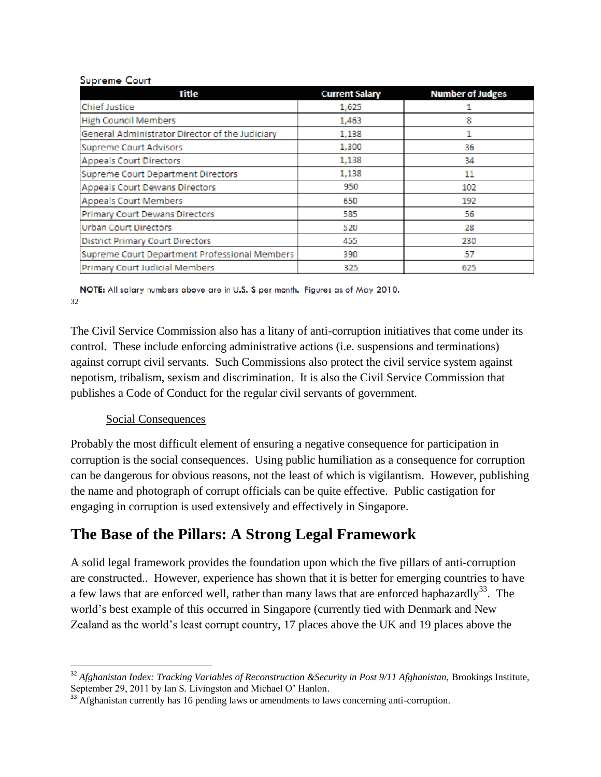#### **Supreme Court**

| Title                                           | <b>Current Salary</b> | <b>Number of Judges</b> |
|-------------------------------------------------|-----------------------|-------------------------|
| <b>Chief Justice</b>                            | 1,625                 |                         |
| <b>High Council Members</b>                     | 1,463                 | 8                       |
| General Administrator Director of the Judiciary | 1,138                 |                         |
| <b>Supreme Court Advisors</b>                   | 1,300                 | 36                      |
| <b>Appeals Court Directors</b>                  | 1,138                 | 34                      |
| <b>Supreme Court Department Directors</b>       | 1,138                 | 11                      |
| Appeals Court Dewans Directors                  | 950                   | 102                     |
| <b>Appeals Court Members</b>                    | 650                   | 192                     |
| <b>Primary Court Dewans Directors</b>           | 585                   | 56                      |
| <b>Urban Court Directors</b>                    | 520                   | 28                      |
| <b>District Primary Court Directors</b>         | 455                   | 230                     |
| Supreme Court Department Professional Members   | 390                   | 57                      |
| Primary Court Judicial Members                  | 325                   | 625                     |

NOTE: All salary numbers above are in U.S. \$ per month. Figures as of May 2010. 32

The Civil Service Commission also has a litany of anti-corruption initiatives that come under its control. These include enforcing administrative actions (i.e. suspensions and terminations) against corrupt civil servants. Such Commissions also protect the civil service system against nepotism, tribalism, sexism and discrimination. It is also the Civil Service Commission that publishes a Code of Conduct for the regular civil servants of government.

## Social Consequences

Probably the most difficult element of ensuring a negative consequence for participation in corruption is the social consequences. Using public humiliation as a consequence for corruption can be dangerous for obvious reasons, not the least of which is vigilantism. However, publishing the name and photograph of corrupt officials can be quite effective. Public castigation for engaging in corruption is used extensively and effectively in Singapore.

# **The Base of the Pillars: A Strong Legal Framework**

A solid legal framework provides the foundation upon which the five pillars of anti-corruption are constructed.. However, experience has shown that it is better for emerging countries to have a few laws that are enforced well, rather than many laws that are enforced haphazardly<sup>33</sup>. The world's best example of this occurred in Singapore (currently tied with Denmark and New Zealand as the world's least corrupt country, 17 places above the UK and 19 places above the

 $\overline{\phantom{a}}$ <sup>32</sup> Afghanistan Index: Tracking Variables of Reconstruction &Security in Post 9/11 Afghanistan, Brookings Institute, September 29, 2011 by Ian S. Livingston and Michael O' Hanlon.

<sup>&</sup>lt;sup>33</sup> Afghanistan currently has 16 pending laws or amendments to laws concerning anti-corruption.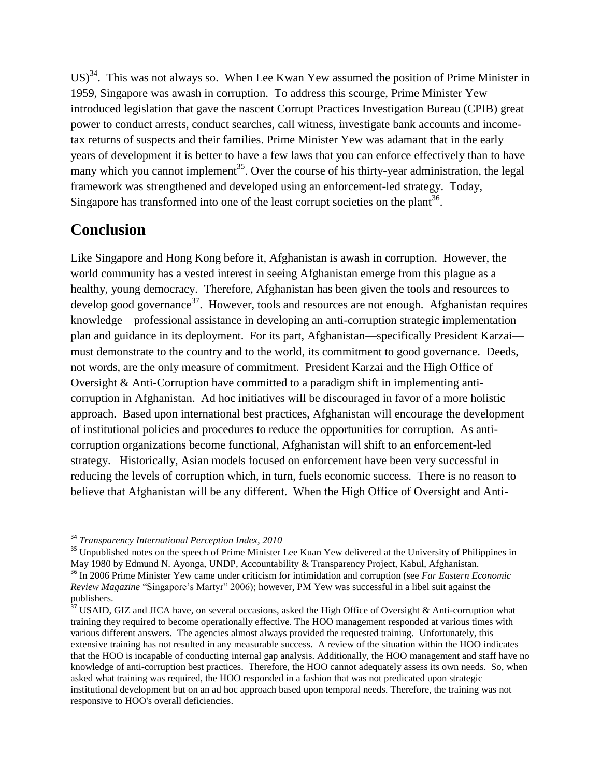$US$ <sup>34</sup>. This was not always so. When Lee Kwan Yew assumed the position of Prime Minister in 1959, Singapore was awash in corruption. To address this scourge, Prime Minister Yew introduced legislation that gave the nascent Corrupt Practices Investigation Bureau (CPIB) great power to conduct arrests, conduct searches, call witness, investigate bank accounts and incometax returns of suspects and their families. Prime Minister Yew was adamant that in the early years of development it is better to have a few laws that you can enforce effectively than to have many which you cannot implement<sup>35</sup>. Over the course of his thirty-year administration, the legal framework was strengthened and developed using an enforcement-led strategy. Today, Singapore has transformed into one of the least corrupt societies on the plant<sup>36</sup>.

# **Conclusion**

Like Singapore and Hong Kong before it, Afghanistan is awash in corruption. However, the world community has a vested interest in seeing Afghanistan emerge from this plague as a healthy, young democracy. Therefore, Afghanistan has been given the tools and resources to develop good governance<sup>37</sup>. However, tools and resources are not enough. Afghanistan requires knowledge—professional assistance in developing an anti-corruption strategic implementation plan and guidance in its deployment. For its part, Afghanistan—specifically President Karzai must demonstrate to the country and to the world, its commitment to good governance. Deeds, not words, are the only measure of commitment. President Karzai and the High Office of Oversight & Anti-Corruption have committed to a paradigm shift in implementing anticorruption in Afghanistan. Ad hoc initiatives will be discouraged in favor of a more holistic approach. Based upon international best practices, Afghanistan will encourage the development of institutional policies and procedures to reduce the opportunities for corruption. As anticorruption organizations become functional, Afghanistan will shift to an enforcement-led strategy. Historically, Asian models focused on enforcement have been very successful in reducing the levels of corruption which, in turn, fuels economic success. There is no reason to believe that Afghanistan will be any different. When the High Office of Oversight and Anti-

 $\overline{\phantom{a}}$ 

<sup>34</sup> *Transparency International Perception Index, 2010*

<sup>&</sup>lt;sup>35</sup> Unpublished notes on the speech of Prime Minister Lee Kuan Yew delivered at the University of Philippines in May 1980 by Edmund N. Ayonga, UNDP, Accountability & Transparency Project, Kabul, Afghanistan. <sup>36</sup> In 2006 Prime Minister Yew came under criticism for intimidation and corruption (see *Far Eastern Economic Review Magazine* "Singapore's Martyr" 2006); however, PM Yew was successful in a libel suit against the

publishers.

 $37$  USAID, GIZ and JICA have, on several occasions, asked the High Office of Oversight & Anti-corruption what training they required to become operationally effective. The HOO management responded at various times with various different answers. The agencies almost always provided the requested training. Unfortunately, this extensive training has not resulted in any measurable success. A review of the situation within the HOO indicates that the HOO is incapable of conducting internal gap analysis. Additionally, the HOO management and staff have no knowledge of anti-corruption best practices. Therefore, the HOO cannot adequately assess its own needs. So, when asked what training was required, the HOO responded in a fashion that was not predicated upon strategic institutional development but on an ad hoc approach based upon temporal needs. Therefore, the training was not responsive to HOO's overall deficiencies.